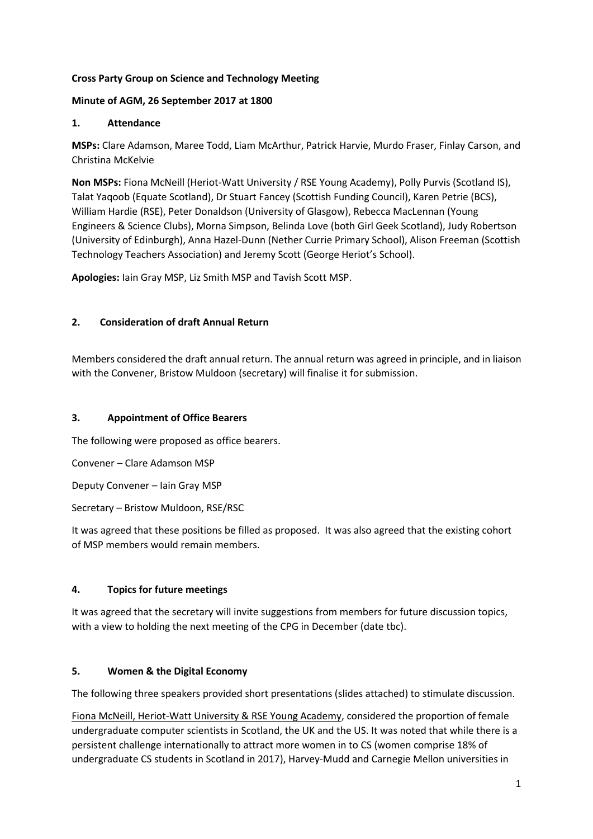# **Cross Party Group on Science and Technology Meeting**

# **Minute of AGM, 26 September 2017 at 1800**

# **1. Attendance**

**MSPs:** Clare Adamson, Maree Todd, Liam McArthur, Patrick Harvie, Murdo Fraser, Finlay Carson, and Christina McKelvie

**Non MSPs:** Fiona McNeill (Heriot-Watt University / RSE Young Academy), Polly Purvis (Scotland IS), Talat Yaqoob (Equate Scotland), Dr Stuart Fancey (Scottish Funding Council), Karen Petrie (BCS), William Hardie (RSE), Peter Donaldson (University of Glasgow), Rebecca MacLennan (Young Engineers & Science Clubs), Morna Simpson, Belinda Love (both Girl Geek Scotland), Judy Robertson (University of Edinburgh), Anna Hazel-Dunn (Nether Currie Primary School), Alison Freeman (Scottish Technology Teachers Association) and Jeremy Scott (George Heriot's School).

**Apologies:** Iain Gray MSP, Liz Smith MSP and Tavish Scott MSP.

# **2. Consideration of draft Annual Return**

Members considered the draft annual return. The annual return was agreed in principle, and in liaison with the Convener, Bristow Muldoon (secretary) will finalise it for submission.

# **3. Appointment of Office Bearers**

The following were proposed as office bearers.

Convener – Clare Adamson MSP

Deputy Convener – Iain Gray MSP

Secretary – Bristow Muldoon, RSE/RSC

It was agreed that these positions be filled as proposed. It was also agreed that the existing cohort of MSP members would remain members.

# **4. Topics for future meetings**

It was agreed that the secretary will invite suggestions from members for future discussion topics, with a view to holding the next meeting of the CPG in December (date tbc).

# **5. Women & the Digital Economy**

The following three speakers provided short presentations (slides attached) to stimulate discussion.

Fiona McNeill, Heriot-Watt University & RSE Young Academy, considered the proportion of female undergraduate computer scientists in Scotland, the UK and the US. It was noted that while there is a persistent challenge internationally to attract more women in to CS (women comprise 18% of undergraduate CS students in Scotland in 2017), Harvey-Mudd and Carnegie Mellon universities in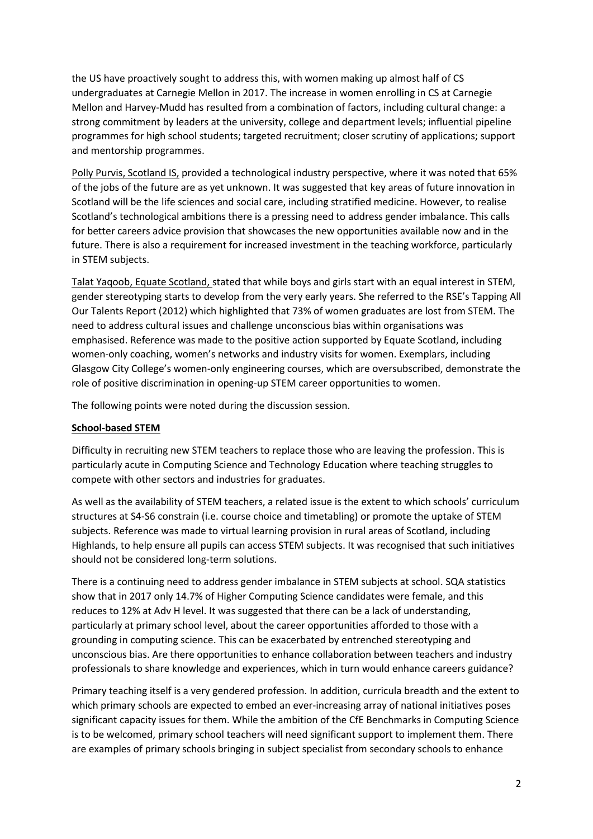the US have proactively sought to address this, with women making up almost half of CS undergraduates at Carnegie Mellon in 2017. The increase in women enrolling in CS at Carnegie Mellon and Harvey-Mudd has resulted from a combination of factors, including cultural change: a strong commitment by leaders at the university, college and department levels; influential pipeline programmes for high school students; targeted recruitment; closer scrutiny of applications; support and mentorship programmes.

Polly Purvis, Scotland IS, provided a technological industry perspective, where it was noted that 65% of the jobs of the future are as yet unknown. It was suggested that key areas of future innovation in Scotland will be the life sciences and social care, including stratified medicine. However, to realise Scotland's technological ambitions there is a pressing need to address gender imbalance. This calls for better careers advice provision that showcases the new opportunities available now and in the future. There is also a requirement for increased investment in the teaching workforce, particularly in STEM subjects.

Talat Yaqoob, Equate Scotland, stated that while boys and girls start with an equal interest in STEM, gender stereotyping starts to develop from the very early years. She referred to the RSE's Tapping All Our Talents Report (2012) which highlighted that 73% of women graduates are lost from STEM. The need to address cultural issues and challenge unconscious bias within organisations was emphasised. Reference was made to the positive action supported by Equate Scotland, including women-only coaching, women's networks and industry visits for women. Exemplars, including Glasgow City College's women-only engineering courses, which are oversubscribed, demonstrate the role of positive discrimination in opening-up STEM career opportunities to women.

The following points were noted during the discussion session.

### **School-based STEM**

Difficulty in recruiting new STEM teachers to replace those who are leaving the profession. This is particularly acute in Computing Science and Technology Education where teaching struggles to compete with other sectors and industries for graduates.

As well as the availability of STEM teachers, a related issue is the extent to which schools' curriculum structures at S4-S6 constrain (i.e. course choice and timetabling) or promote the uptake of STEM subjects. Reference was made to virtual learning provision in rural areas of Scotland, including Highlands, to help ensure all pupils can access STEM subjects. It was recognised that such initiatives should not be considered long-term solutions.

There is a continuing need to address gender imbalance in STEM subjects at school. SQA statistics show that in 2017 only 14.7% of Higher Computing Science candidates were female, and this reduces to 12% at Adv H level. It was suggested that there can be a lack of understanding, particularly at primary school level, about the career opportunities afforded to those with a grounding in computing science. This can be exacerbated by entrenched stereotyping and unconscious bias. Are there opportunities to enhance collaboration between teachers and industry professionals to share knowledge and experiences, which in turn would enhance careers guidance?

Primary teaching itself is a very gendered profession. In addition, curricula breadth and the extent to which primary schools are expected to embed an ever-increasing array of national initiatives poses significant capacity issues for them. While the ambition of the CfE Benchmarks in Computing Science is to be welcomed, primary school teachers will need significant support to implement them. There are examples of primary schools bringing in subject specialist from secondary schools to enhance